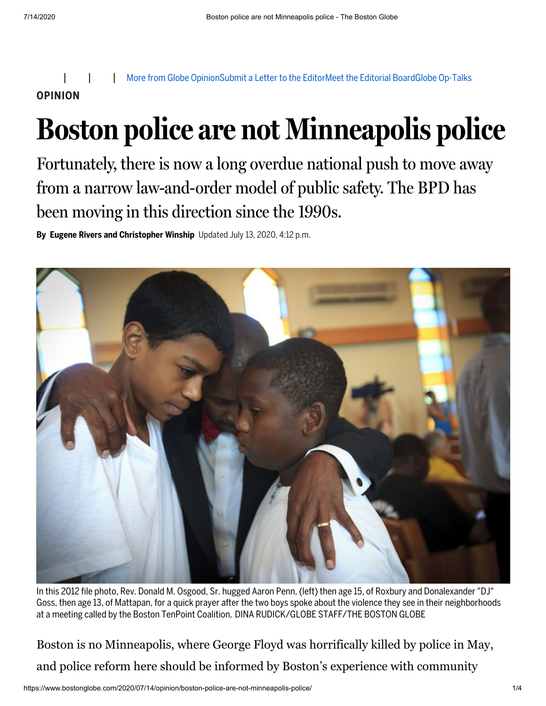More from Globe [Opinion](https://www.bostonglobe.com/opinion/?p1=Article_Utility)[Submit](https://www.bostonglobe.com/2011/09/10/bgcom-lettersubmit/XHnJoyNpBDC80qGtpMGSsL/story.html?p1=Article_Utility) a Letter to the EditorMeet the [Editorial](https://www.bostonglobe.com/opinion/2018/05/22/guide-globe-opinion/BEw1XU0uyEag9ceSF1vvLJ/story.html?p1=Article_Utility) BoardGlobe [Op-Talks](https://www.bostonglobe.com/opinion/optalks/?p1=Article_Utility) **OPINION**

## **Boston police are not Minneapolis police**

Fortunately, there is now a long overdue national push to move away from a narrow law-and-order model of public safety. The BPD has been moving in this direction since the 1990s.

**By Eugene Rivers and Christopher Winship** Updated July 13, 2020, 4:12 p.m.



In this 2012 file photo, Rev. Donald M. Osgood, Sr. hugged Aaron Penn, (left) then age 15, of Roxbury and Donalexander "DJ" Goss, then age 13, of Mattapan, for a quick prayer after the two boys spoke about the violence they see in their neighborhoods at a meeting called by the Boston TenPoint Coalition. DINA RUDICK/GLOBE STAFF/THE BOSTON GLOBE

Boston is no Minneapolis, where George Floyd was horrifically killed by police in May, and police reform here should be informed by Boston's experience with community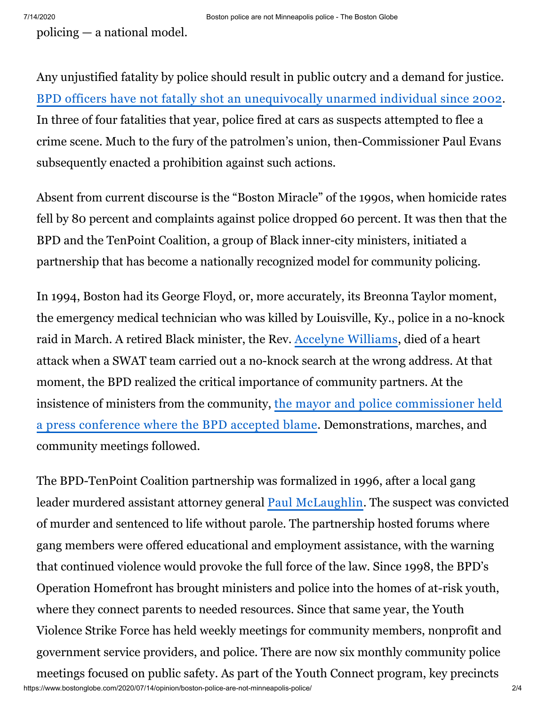policing — a national model.

Any unjustified fatality by police should result in public outcry and a demand for justice. BPD officers have not fatally shot an [unequivocally](https://urldefense.proofpoint.com/v2/url?u=http-3A__archive.boston.com_news_local_articles_2003_08_28_da-5Fclears-5Fofficer-5Fin-5Fshooting_&d=DwMFaQ&c=WO-RGvefibhHBZq3fL85hQ&r=54JboDI_DdyinbYLadIauo7s0xPi-2oBhSl2BtaILfM&m=bSvmn0hz_jDy0crMhBlFpZwV7MYzFeMvXvHYyah_sew&s=xOs0O0DcSyEKMdamPB1Le8fcMgncaOR5M5GCGLcMWGk&e=) unarmed individual since 2002. In three of four fatalities that year, police fired at cars as suspects attempted to flee a crime scene. Much to the fury of the patrolmen's union, then-Commissioner Paul Evans subsequently enacted a prohibition against such actions.

Absent from current discourse is the "Boston Miracle" of the 1990s, when homicide rates fell by 80 percent and complaints against police dropped 60 percent. It was then that the BPD and the TenPoint Coalition, a group of Black inner-city ministers, initiated a partnership that has become a nationally recognized model for community policing.

In 1994, Boston had its George Floyd, or, more accurately, its Breonna Taylor moment, the emergency medical technician who was killed by Louisville, Ky., police in a no-knock raid in March. A retired Black minister, the Rev. Accelyne [Williams](https://www.nytimes.com/1994/05/16/us/police-mistakes-cited-in-death-of-boston-man.html), died of a heart attack when a SWAT team carried out a no-knock search at the wrong address. At that moment, the BPD realized the critical importance of community partners. At the [insistence of ministers from the community, the](https://www.chicagotribune.com/news/ct-xpm-1996-04-25-9604250226-story.html) mayor and police commissioner held a press conference where the BPD accepted blame. Demonstrations, marches, and community meetings followed.

https://www.bostonglobe.com/2020/07/14/opinion/boston-police-are-not-minneapolis-police/ 2/4 The BPD-TenPoint Coalition partnership was formalized in 1996, after a local gang leader murdered assistant attorney general Paul [McLaughlin.](https://www.bostonglobe.com/metro/2015/09/25/paul-mclaughlin-gang-prosecutor-murdered-west-roxbury-recalled-friends/RON4JgxWDo1GKfTxVca7FP/story.html?p1=Article_Inline_Text_Link) The suspect was convicted of murder and sentenced to life without parole. The partnership hosted forums where gang members were offered educational and employment assistance, with the warning that continued violence would provoke the full force of the law. Since 1998, the BPD's Operation Homefront has brought ministers and police into the homes of at-risk youth, where they connect parents to needed resources. Since that same year, the Youth Violence Strike Force has held weekly meetings for community members, nonprofit and government service providers, and police. There are now six monthly community police meetings focused on public safety. As part of the Youth Connect program, key precincts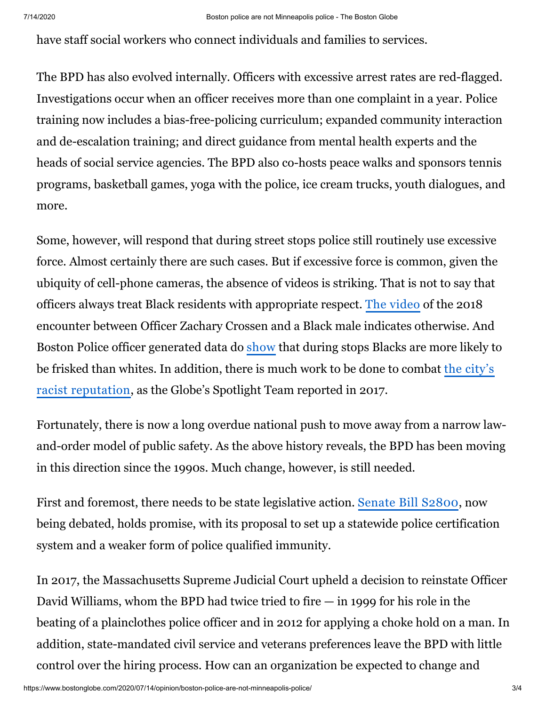have staff social workers who connect individuals and families to services.

The BPD has also evolved internally. Officers with excessive arrest rates are red-flagged. Investigations occur when an officer receives more than one complaint in a year. Police training now includes a bias-free-policing curriculum; expanded community interaction and de-escalation training; and direct guidance from mental health experts and the heads of social service agencies. The BPD also co-hosts peace walks and sponsors tennis programs, basketball games, yoga with the police, ice cream trucks, youth dialogues, and more.

Some, however, will respond that during street stops police still routinely use excessive force. Almost certainly there are such cases. But if excessive force is common, given the ubiquity of cell-phone cameras, the absence of videos is striking. That is not to say that officers always treat Black residents with appropriate respect. The [video](https://www.boston.com/news/local-news/2018/02/28/activists-decry-video-of-boston-police-stop-of-black-man) of the 2018 encounter between Officer Zachary Crossen and a Black male indicates otherwise. And Boston Police officer generated data do [show](https://urldefense.proofpoint.com/v2/url?u=https-3A__www.issuelab.org_resources_25203_25203.pdf&d=DwMFaQ&c=WO-RGvefibhHBZq3fL85hQ&r=54JboDI_DdyinbYLadIauo7s0xPi-2oBhSl2BtaILfM&m=OOQdPIcip9nGwW-RtBpyY7rGCtD2_S3oWRgDueUPqEQ&s=pbu_ECo-CHkrTTyuwHaiSlxp1Kb-fnzj7VPWRV3d5rI&e=) that during stops Blacks are more likely to [be frisked than whites. In addition, there is much work to be done to combat the](https://urldefense.proofpoint.com/v2/url?u=https-3A__www.bostonglobe.com_metro_2017_12_05_boston-2Dracism-2Dimage-2Dreality_FHxuoVw4zOcRlorBiDT97K_story.html&d=DwMFaQ&c=WO-RGvefibhHBZq3fL85hQ&r=54JboDI_DdyinbYLadIauo7s0xPi-2oBhSl2BtaILfM&m=PrS9wrNG4Kg1ORYPDg3PTDW7jn9ZK5tkqQTq1zOr3Kw&s=0_-F_pgNLyIvmwOlXIDbvPToLSqCs1NP1fpRgBlprMk&e=&p1=Article_Inline_Text_Link) city's racist reputation, as the Globe's Spotlight Team reported in 2017.

Fortunately, there is now a long overdue national push to move away from a narrow lawand-order model of public safety. As the above history reveals, the BPD has been moving in this direction since the 1990s. Much change, however, is still needed.

First and foremost, there needs to be state legislative action. [Senate](https://urldefense.proofpoint.com/v2/url?u=https-3A__malegislature.gov_Bills_191_S2800&d=DwMFaQ&c=WO-RGvefibhHBZq3fL85hQ&r=54JboDI_DdyinbYLadIauo7s0xPi-2oBhSl2BtaILfM&m=OOQdPIcip9nGwW-RtBpyY7rGCtD2_S3oWRgDueUPqEQ&s=DuNDe4iXYUlLOHYovu7_MF-Ll1Rx34R7AunmMm772WI&e=) Bill S2800, now being debated, holds promise, with its proposal to set up a statewide police certification system and a weaker form of police qualified immunity.

In 2017, the Massachusetts Supreme Judicial Court upheld a decision to reinstate Officer David Williams, whom the BPD had twice tried to fire — in 1999 for his role in the beating of a plainclothes police officer and in 2012 for applying a choke hold on a man. In addition, state-mandated civil service and veterans preferences leave the BPD with little control over the hiring process. How can an organization be expected to change and